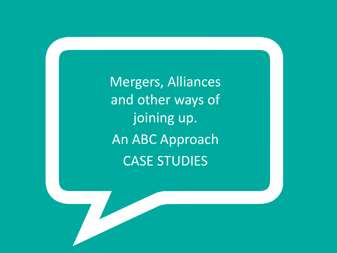Mergers, Alliances and other ways of joining up. An ABC Approach CASE STUDIES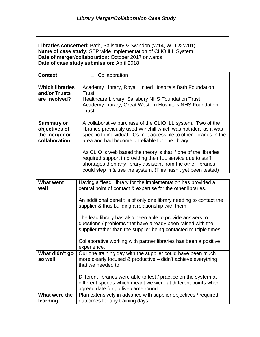**Libraries concerned:** Bath, Salisbury & Swindon (W14, W11 & W01) **Name of case study:** STP wide Implementation of CLIO ILL System **Date of merger/collaboration:** October 2017 onwards **Date of case study submission:** April 2018

| <b>Context:</b>                                                      | $\Box$ Collaboration                                                                                                                                                                                                                                              |
|----------------------------------------------------------------------|-------------------------------------------------------------------------------------------------------------------------------------------------------------------------------------------------------------------------------------------------------------------|
| <b>Which libraries</b><br>and/or Trusts<br>are involved?             | Academy Library, Royal United Hospitals Bath Foundation<br>Trust<br>Healthcare Library, Salisbury NHS Foundation Trust<br>Academy Library, Great Western Hospitals NHS Foundation<br>Trust.                                                                       |
| <b>Summary or</b><br>objectives of<br>the merger or<br>collaboration | A collaborative purchase of the CLIO ILL system. Two of the<br>libraries previously used Winchill which was not ideal as it was<br>specific to individual PCs, not accessible to other libraries in the<br>area and had become unreliable for one library.        |
|                                                                      | As CLIO is web based the theory is that if one of the libraries<br>required support in providing their ILL service due to staff<br>shortages then any library assistant from the other libraries<br>could step in & use the system. (This hasn't yet been tested) |

| <b>What went</b><br>well  | Having a "lead" library for the implementation has provided a<br>central point of contact & expertise for the other libraries.                                                                |
|---------------------------|-----------------------------------------------------------------------------------------------------------------------------------------------------------------------------------------------|
|                           | An additional benefit is of only one library needing to contact the<br>supplier & thus building a relationship with them.                                                                     |
|                           | The lead library has also been able to provide answers to<br>questions / problems that have already been raised with the<br>supplier rather than the supplier being contacted multiple times. |
|                           | Collaborative working with partner libraries has been a positive<br>experience.                                                                                                               |
| What didn't go<br>so well | Our one training day with the supplier could have been much<br>more clearly focused & productive – didn't achieve everything<br>that we needed to.                                            |
|                           | Different libraries were able to test / practice on the system at<br>different speeds which meant we were at different points when<br>agreed date for go live came round                      |
| What were the             | Plan extensively in advance with supplier objectives / required                                                                                                                               |
| learning                  | outcomes for any training days.                                                                                                                                                               |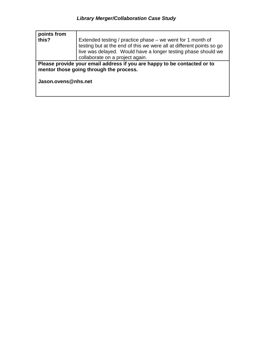| points from<br>this?                                                                                                                       | Extended testing / practice phase – we went for 1 month of<br>testing but at the end of this we were all at different points so go<br>live was delayed. Would have a longer testing phase should we<br>collaborate on a project again. |
|--------------------------------------------------------------------------------------------------------------------------------------------|----------------------------------------------------------------------------------------------------------------------------------------------------------------------------------------------------------------------------------------|
| Please provide your email address if you are happy to be contacted or to<br>mentor those going through the process.<br>Jason.ovens@nhs.net |                                                                                                                                                                                                                                        |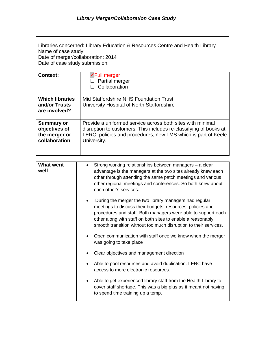Libraries concerned: Library Education & Resources Centre and Health Library Name of case study: Date of merger/collaboration: 2014 Date of case study submission: Context: **Full merger**  $\overline{\Box}$  Partial merger  $\Box$  Collaboration **Which libraries and/or Trusts**  Mid Staffordshire NHS Foundation Trust University Hospital of North Staffordshire

| ang/or Trusts<br>are involved? | UTIIVEISILY HOSPILAI OF NOTIFI SLATIOIDSITIIE                     |
|--------------------------------|-------------------------------------------------------------------|
| <b>Summary or</b>              | Provide a uniformed service across both sites with minimal        |
| objectives of                  | disruption to customers. This includes re-classifying of books at |
| the merger or                  | LERC, policies and procedures, new LMS which is part of Keele     |
| collaboration                  | University.                                                       |

| <b>What went</b><br>well | Strong working relationships between managers - a clear<br>$\bullet$<br>advantage is the managers at the two sites already knew each<br>other through attending the same patch meetings and various<br>other regional meetings and conferences. So both knew about<br>each other's services.                             |
|--------------------------|--------------------------------------------------------------------------------------------------------------------------------------------------------------------------------------------------------------------------------------------------------------------------------------------------------------------------|
|                          | During the merger the two library managers had regular<br>meetings to discuss their budgets, resources, policies and<br>procedures and staff. Both managers were able to support each<br>other along with staff on both sites to enable a reasonably<br>smooth transition without too much disruption to their services. |
|                          | Open communication with staff once we knew when the merger<br>was going to take place                                                                                                                                                                                                                                    |
|                          | Clear objectives and management direction                                                                                                                                                                                                                                                                                |
|                          | Able to pool resources and avoid duplication. LERC have<br>access to more electronic resources.                                                                                                                                                                                                                          |
|                          | Able to get experienced library staff from the Health Library to<br>$\bullet$<br>cover staff shortage. This was a big plus as it meant not having<br>to spend time training up a temp.                                                                                                                                   |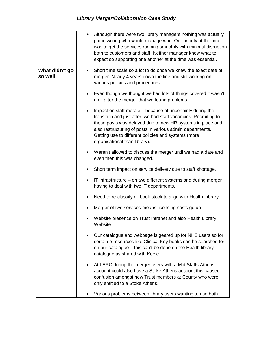|                           | Although there were two library managers nothing was actually<br>$\bullet$<br>put in writing who would manage who. Our priority at the time<br>was to get the services running smoothly with minimal disruption<br>both to customers and staff. Neither manager knew what to<br>expect so supporting one another at the time was essential.                    |
|---------------------------|----------------------------------------------------------------------------------------------------------------------------------------------------------------------------------------------------------------------------------------------------------------------------------------------------------------------------------------------------------------|
| What didn't go<br>so well | Short time scale so a lot to do once we knew the exact date of<br>$\bullet$<br>merger. Nearly 4 years down the line and still working on<br>various policies and procedures.                                                                                                                                                                                   |
|                           | Even though we thought we had lots of things covered it wasn't<br>$\bullet$<br>until after the merger that we found problems.                                                                                                                                                                                                                                  |
|                           | Impact on staff morale – because of uncertainly during the<br>$\bullet$<br>transition and just after, we had staff vacancies. Recruiting to<br>these posts was delayed due to new HR systems in place and<br>also restructuring of posts in various admin departments.<br>Getting use to different policies and systems (more<br>organisational than library). |
|                           | Weren't allowed to discuss the merger until we had a date and<br>$\bullet$<br>even then this was changed.                                                                                                                                                                                                                                                      |
|                           | Short term impact on service delivery due to staff shortage.<br>٠                                                                                                                                                                                                                                                                                              |
|                           | IT infrastructure – on two different systems and during merger<br>$\bullet$<br>having to deal with two IT departments.                                                                                                                                                                                                                                         |
|                           | Need to re-classify all book stock to align with Health Library                                                                                                                                                                                                                                                                                                |
|                           | Merger of two services means licencing costs go up                                                                                                                                                                                                                                                                                                             |
|                           | Website presence on Trust Intranet and also Health Library<br>Website                                                                                                                                                                                                                                                                                          |
|                           | Our catalogue and webpage is geared up for NHS users so for<br>certain e-resources like Clinical Key books can be searched for<br>on our catalogue - this can't be done on the Health library<br>catalogue as shared with Keele.                                                                                                                               |
|                           | At LERC during the merger users with a Mid Staffs Athens<br>$\bullet$<br>account could also have a Stoke Athens account this caused<br>confusion amongst new Trust members at County who were<br>only entitled to a Stoke Athens.                                                                                                                              |
|                           | Various problems between library users wanting to use both                                                                                                                                                                                                                                                                                                     |